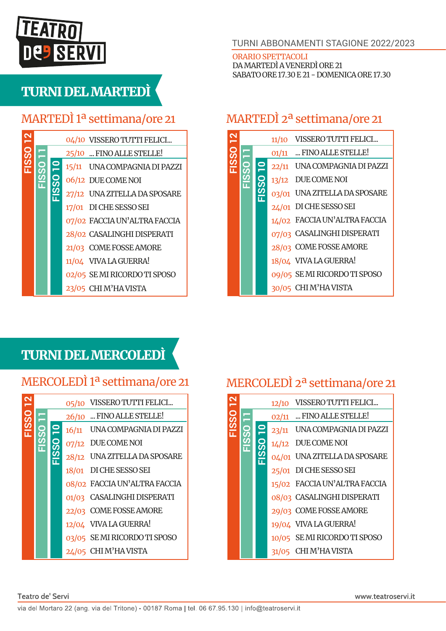# **TEATRO SERVI**

## TURNI DEL MARTEDÌ

#### MARTEDÌ 1ª settimana/ore 21

|               |  | 04/10 VISSERO TUTTI FELICI   |
|---------------|--|------------------------------|
| $\frac{1}{2}$ |  | 25/10  FINO ALLE STELLE!     |
|               |  | 15/11 UNA COMPAGNIA DI PAZZI |
|               |  | 06/12 DUE COME NOI           |
|               |  | 27/12 UNA ZITELLA DA SPOSARE |
|               |  | 17/01 DI CHE SESSO SEI       |
|               |  | 07/02 FACCIA UN'ALTRA FACCIA |
|               |  | 28/02 CASALINGHI DISPERATI   |
|               |  | 21/03 COME FOSSE AMORE       |
|               |  | 11/04 VIVA LA GUERRA!        |
|               |  | 02/05 SEMI RICORDO TI SPOSO  |
|               |  | 23/05 CHIM'HAVISTA           |
|               |  |                              |

#### TURNI ABBONAMENTI STAGIONE 2022/2023

ORARIO SPETTACOLI DA MARTEDÌ A VENERDÌ ORE 21 SABATO ORE 17.30 E 21 - DOMENICA ORE 17.30

#### MARTEDÌ 2ª settimana/ore 21

|          |  | 11/10 | VISSERO TUTTI FELICI         |
|----------|--|-------|------------------------------|
|          |  |       | 01/11  FINO ALLE STELLE!     |
| EISS0 12 |  |       | 22/11 UNA COMPAGNIA DI PAZZI |
|          |  |       | 13/12 DUE COME NOI           |
|          |  |       | 03/01 UNA ZITELLA DA SPOSARE |
|          |  |       | 24/01 DI CHE SESSO SEI       |
|          |  |       | 14/02 FACCIA UN'ALTRA FACCIA |
|          |  |       | 07/03 CASALINGHI DISPERATI   |
|          |  |       | 28/03 COME FOSSE AMORE       |
|          |  |       | 18/04 VIVA LA GUERRA!        |
|          |  |       | 09/05 SE MI RICORDO TI SPOSO |
|          |  |       | 30/05 CHI M'HA VISTA         |

### TURNI DEL MERCOLEDÌ

#### MERCOLEDÌ 1ª settimana/ore 21

|                             |  | 05/10 | VISSERO TUTTI FELICI         |
|-----------------------------|--|-------|------------------------------|
| $\overline{\phantom{0}}$ 59 |  |       | 26/10  FINO ALLE STELLE!     |
|                             |  |       | 16/11 UNA COMPAGNIA DI PAZZI |
|                             |  |       | 07/12 DUE COME NOI           |
|                             |  |       | 28/12 UNA ZITELLA DA SPOSARE |
|                             |  |       | 18/01 DI CHE SESSO SEI       |
|                             |  |       | 08/02 FACCIA UN'ALTRA FACCIA |
|                             |  |       | 01/03 CASALINGHI DISPERATI   |
|                             |  |       | 22/03 COME FOSSE AMORE       |
|                             |  |       | 12/04 VIVA LA GUERRA!        |
|                             |  |       | 03/05 SEMI RICORDO TI SPOSO  |
|                             |  |       | 24/05 CHIM'HAVISTA           |

#### MERCOLEDÌ 2ª settimana/ore 21

|  | 12/10 | VISSERO TUTTI FELICI         |
|--|-------|------------------------------|
|  |       | 02/11  FINO ALLE STELLE!     |
|  |       | 23/11 UNA COMPAGNIA DI PAZZI |
|  |       | 14/12 DUE COME NOI           |
|  |       | 04/01 UNA ZITELLA DA SPOSARE |
|  |       | 25/01 DI CHE SESSO SEI       |
|  |       | 15/02 FACCIA UN'ALTRA FACCIA |
|  |       | 08/03 CASALINGHI DISPERATI   |
|  |       | 29/03 COME FOSSE AMORE       |
|  |       | 19/04 VIVA LA GUERRA!        |
|  |       | 10/05 SEMI RICORDO TI SPOSO  |
|  | 31/05 | CHI M'HA VISTA               |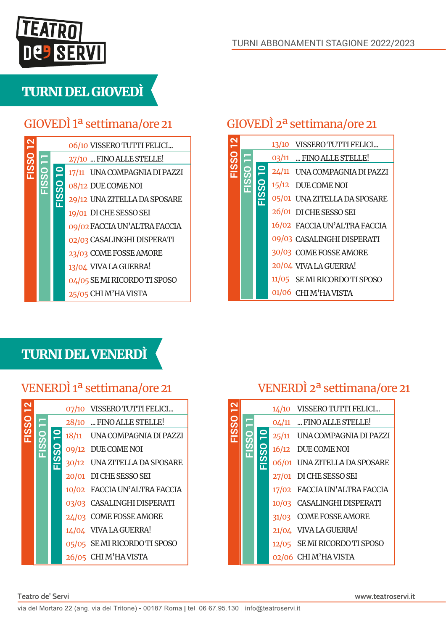

### TURNI DEL GIOVEDÌ

### GIOVEDÌ 1ª settimana/ore 21

|         |  | 06/10 VISSERO TUTTI FELICI   |
|---------|--|------------------------------|
| $1$ SSO |  | 27/10  FINO ALLE STELLE!     |
|         |  | 17/11 UNA COMPAGNIA DI PAZZI |
|         |  | 08/12 DUE COME NOI           |
|         |  | 29/12 UNA ZITELLA DA SPOSARE |
|         |  | 19/01 DI CHE SESSO SEI       |
|         |  | 09/02 FACCIA UN'ALTRA FACCIA |
|         |  | 02/03 CASALINGHI DISPERATI   |
|         |  | 23/03 COME FOSSE AMORE       |
|         |  | 13/04 VIVA LA GUERRA!        |
|         |  | 04/05 SE MI RICORDO TI SPOSO |
|         |  | 25/05 CHI M'HA VISTA         |

#### GIOVEDÌ 2ª settimana/ore 21

|  |   | 13/10 VISSERO TUTTI FELICI   |
|--|---|------------------------------|
|  |   | 03/11  FINO ALLE STELLE!     |
|  |   | 24/11 UNA COMPAGNIA DI PAZZI |
|  | ဌ | 15/12 DUE COME NOI           |
|  |   | 05/01 UNA ZITELLA DA SPOSARE |
|  |   | 26/01 DI CHE SESSO SEI       |
|  |   | 16/02 FACCIA UN'ALTRA FACCIA |
|  |   | 09/03 CASALINGHI DISPERATI   |
|  |   | 30/03 COME FOSSE AMORE       |
|  |   | 20/04 VIVA LA GUERRA!        |
|  |   | 11/05 SEMI RICORDO TI SPOSO  |
|  |   | 01/06 CHI M'HA VISTA         |

#### TURNI DEL VENERDÌ

|  | တ္တ | 07/10 VISSERO TUTTI FELICI<br>28/10  FINO ALLE STELLE!<br>18/11 UNA COMPAGNIA DI PAZZI<br>09/12 DUE COME NOI<br>30/12 UNA ZITELLA DA SPOSARE<br>20/01 DI CHE SESSO SEI<br>10/02 FACCIA UN'ALTRA FACCIA<br>03/03 CASALINGHI DISPERATI<br>24/03 COME FOSSE AMORE<br>14/04 VIVA LA GUERRA!<br>05/05 SEMI RICORDO TI SPOSO<br>26/05 CHIM'HAVISTA |  |  |
|--|-----|----------------------------------------------------------------------------------------------------------------------------------------------------------------------------------------------------------------------------------------------------------------------------------------------------------------------------------------------|--|--|

#### VENERDÌ 1ª settimana/ore 21 VENERDÌ 2ª settimana/ore 21

|          |  | 1/10 | VISSERO TUTTI FELICI         |
|----------|--|------|------------------------------|
|          |  |      | 04/11  FINO ALLE STELLE!     |
| FISSO 12 |  |      | 25/11 UNA COMPAGNIA DI PAZZI |
|          |  |      | 16/12 DUE COME NOI           |
|          |  |      | 06/01 UNA ZITELLA DA SPOSARE |
|          |  |      | 27/01 DI CHE SESSO SEI       |
|          |  |      | 17/02 FACCIA UN'ALTRA FACCIA |
|          |  |      | 10/03 CASALINGHI DISPERATI   |
|          |  |      | 31/03 COME FOSSE AMORE       |
|          |  |      | 21/04 VIVA LA GUERRA!        |
|          |  |      | 12/05 SE MI RICORDO TI SPOSO |
|          |  |      | 02/06 CHIM'HAVISTA           |